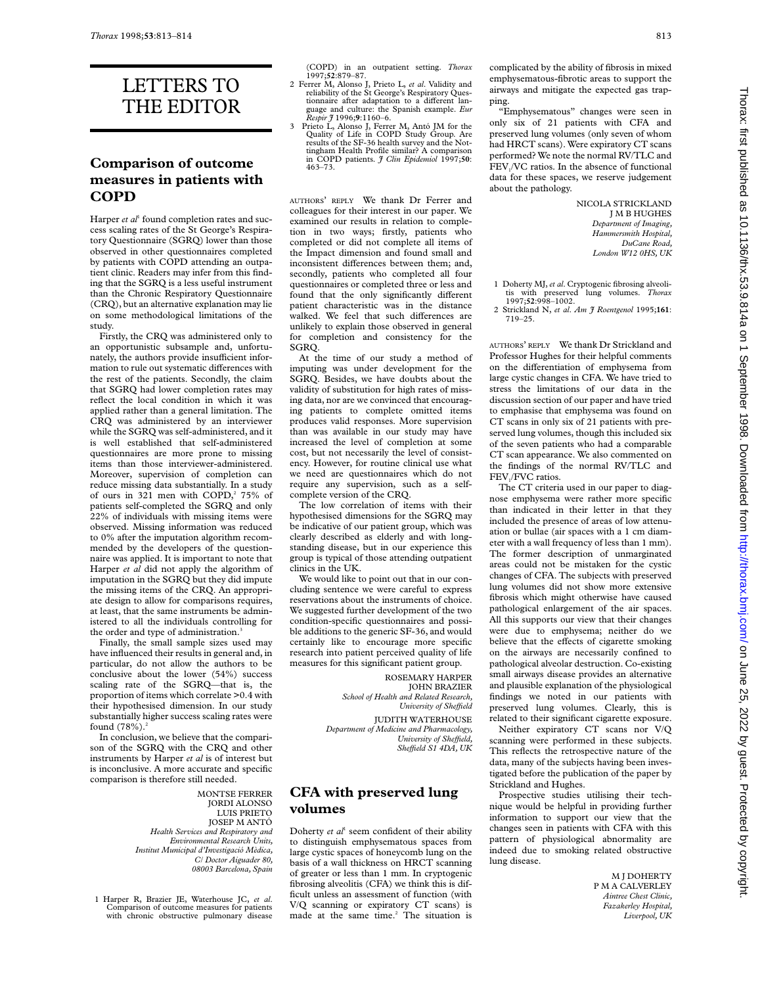# LETTERS TO THE EDITOR

#### **Comparison of outcome measures in patients with COPD**

Harper *et al*<sup>1</sup> found completion rates and success scaling rates of the St George's Respiratory Questionnaire (SGRQ) lower than those observed in other questionnaires completed by patients with COPD attending an outpatient clinic. Readers may infer from this finding that the SGRQ is a less useful instrument than the Chronic Respiratory Questionnaire (CRQ), but an alternative explanation may lie on some methodological limitations of the study.

Firstly, the CRQ was administered only to an opportunistic subsample and, unfortunately, the authors provide insufficient information to rule out systematic differences with the rest of the patients. Secondly, the claim that SGRQ had lower completion rates may reflect the local condition in which it was applied rather than a general limitation. The CRQ was administered by an interviewer while the SGRQ was self-administered, and it is well established that self-administered questionnaires are more prone to missing items than those interviewer-administered. Moreover, supervision of completion can reduce missing data substantially. In a study of ours in 321 men with COPD,<sup>2</sup> 75% of patients self-completed the SGRQ and only 22% of individuals with missing items were observed. Missing information was reduced to 0% after the imputation algorithm recommended by the developers of the questionnaire was applied. It is important to note that Harper *et al* did not apply the algorithm of imputation in the SGRQ but they did impute the missing items of the CRQ. An appropriate design to allow for comparisons requires, at least, that the same instruments be administered to all the individuals controlling for the order and type of administration.<sup>3</sup>

Finally, the small sample sizes used may have influenced their results in general and, in particular, do not allow the authors to be conclusive about the lower (54%) success scaling rate of the SGRQ—that is, the proportion of items which correlate >0.4 with their hypothesised dimension. In our study substantially higher success scaling rates were found  $(78%)$ .<sup>2</sup>

In conclusion, we believe that the comparison of the SGRQ with the CRQ and other instruments by Harper *et al* is of interest but is inconclusive. A more accurate and specific comparison is therefore still needed.

> MONTSE FERRER JORDI ALONSO LUIS PRIETO JOSEP M ANTÓ *Health Services and Respiratory and Environmental Research Units, Institut Municipal d'Investigació Mèdica, C/ Doctor Aiguader 80, 08003 Barcelona, Spain*

1 Harper R, Brazier JE, Waterhouse JC, *et al*. Comparison of outcome measures for patients with chronic obstructive pulmonary disease (COPD) in an outpatient setting. *Thorax* 1997;**52**:879–87.

- 2 Ferrer M, Alonso J, Prieto L, *et al*. Validity and reliability of the St George's Respiratory Questionnaire after adaptation to a different language and culture: the Spanish example. *Eur Respir J* 1996;**9**:1160–6.
- 3 Prieto L, Alonso J, Ferrer M, Antó JM for the Quality of Life in COPD Study Group. Are results of the SF-36 health survey and the Not-tingham Health Profile similar? A comparison in COPD patients. *J Clin Epidemiol* 1997;**50**: 463–73.

AUTHORS' REPLY We thank Dr Ferrer and colleagues for their interest in our paper. We examined our results in relation to completion in two ways; firstly, patients who completed or did not complete all items of the Impact dimension and found small and inconsistent differences between them; and, secondly, patients who completed all four questionnaires or completed three or less and found that the only significantly different patient characteristic was in the distance walked. We feel that such differences are unlikely to explain those observed in general for completion and consistency for the SGRQ.

At the time of our study a method of imputing was under development for the SGRQ. Besides, we have doubts about the validity of substitution for high rates of missing data, nor are we convinced that encouraging patients to complete omitted items produces valid responses. More supervision than was available in our study may have increased the level of completion at some cost, but not necessarily the level of consistency. However, for routine clinical use what we need are questionnaires which do not require any supervision, such as a selfcomplete version of the CRQ.

The low correlation of items with their hypothesised dimensions for the SGRQ may be indicative of our patient group, which was clearly described as elderly and with longstanding disease, but in our experience this group is typical of those attending outpatient clinics in the UK.

We would like to point out that in our concluding sentence we were careful to express reservations about the instruments of choice. We suggested further development of the two condition-specific questionnaires and possible additions to the generic SF-36, and would certainly like to encourage more specific research into patient perceived quality of life measures for this significant patient group.

> ROSEMARY HARPER JOHN BRAZIER *School of Health and Related Research, University of SheYeld*

JUDITH WATERHOUSE *Department of Medicine and Pharmacology, University of SheYeld, SheYeld S1 4DA, UK*

#### **CFA with preserved lung volumes**

Doherty *et al*<sup>1</sup> seem confident of their ability to distinguish emphysematous spaces from large cystic spaces of honeycomb lung on the basis of a wall thickness on HRCT scanning of greater or less than 1 mm. In cryptogenic fibrosing alveolitis (CFA) we think this is difficult unless an assessment of function (with V/Q scanning or expiratory CT scans) is made at the same time.<sup>2</sup> The situation is

complicated by the ability of fibrosis in mixed emphysematous-fibrotic areas to support the airways and mitigate the expected gas trapping.

"Emphysematous" changes were seen in only six of 21 patients with CFA and preserved lung volumes (only seven of whom had HRCT scans). Were expiratory CT scans performed? We note the normal RV/TLC and FEV<sub>1</sub>/VC ratios. In the absence of functional data for these spaces, we reserve judgement about the pathology.

> NICOLA STRICKLAND J M B HUGHES *Department of Imaging, Hammersmith Hospital, DuCane Road, London W12 0HS, UK*

- 1 Doherty MJ, *et al*. Cryptogenic fibrosing alveoli-tis with preserved lung volumes. *Thorax* 1997;**52**:998–1002.
- 2 Strickland N, *et al*. *Am J Roentgenol* 1995;**161**: 719–25.

AUTHORS' REPLY We thank Dr Strickland and Professor Hughes for their helpful comments on the differentiation of emphysema from large cystic changes in CFA. We have tried to stress the limitations of our data in the discussion section of our paper and have tried to emphasise that emphysema was found on CT scans in only six of 21 patients with preserved lung volumes, though this included six of the seven patients who had a comparable CT scan appearance. We also commented on the findings of the normal RV/TLC and FEV<sub>1</sub>/FVC ratios.

The CT criteria used in our paper to diagnose emphysema were rather more specific than indicated in their letter in that they included the presence of areas of low attenuation or bullae (air spaces with a 1 cm diameter with a wall frequency of less than 1 mm). The former description of unmarginated areas could not be mistaken for the cystic changes of CFA. The subjects with preserved lung volumes did not show more extensive fibrosis which might otherwise have caused pathological enlargement of the air spaces. All this supports our view that their changes were due to emphysema; neither do we believe that the effects of cigarette smoking on the airways are necessarily confined to pathological alveolar destruction. Co-existing small airways disease provides an alternative and plausible explanation of the physiological findings we noted in our patients with preserved lung volumes. Clearly, this is related to their significant cigarette exposure.

Neither expiratory CT scans nor V/Q scanning were performed in these subjects. This reflects the retrospective nature of the data, many of the subjects having been investigated before the publication of the paper by Strickland and Hughes.

Prospective studies utilising their technique would be helpful in providing further information to support our view that the changes seen in patients with CFA with this pattern of physiological abnormality are indeed due to smoking related obstructive lung disease.

> M J DOHERTY P M A CALVERLEY *Aintree Chest Clinic, Fazakerley Hospital, Liverpool, UK*